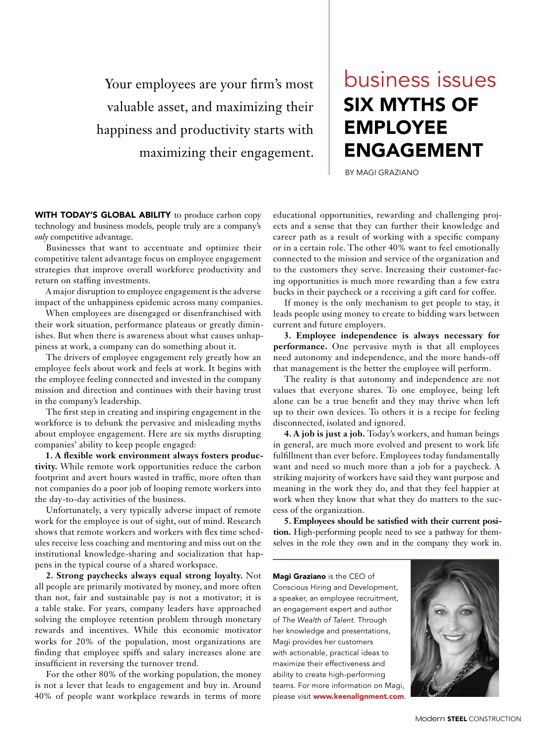valuable asset, and maximizing their happiness and productivity starts with maximizing their engagement.

## SIX MYTHS OF EMPLOYEE ENGAGEMENT Your employees are your firm's most **business issues**

BY MAGI GRAZIANO

WITH TODAY'S GLOBAL ABILITY to produce carbon copy technology and business models, people truly are a company's *only* competitive advantage.

Businesses that want to accentuate and optimize their competitive talent advantage focus on employee engagement strategies that improve overall workforce productivity and return on staffing investments.

A major disruption to employee engagement is the adverse impact of the unhappiness epidemic across many companies.

When employees are disengaged or disenfranchised with their work situation, performance plateaus or greatly diminishes. But when there is awareness about what causes unhappiness at work, a company can do something about it.

The drivers of employee engagement rely greatly how an employee feels about work and feels at work. It begins with the employee feeling connected and invested in the company mission and direction and continues with their having trust in the company's leadership.

The first step in creating and inspiring engagement in the workforce is to debunk the pervasive and misleading myths about employee engagement. Here are six myths disrupting companies' ability to keep people engaged:

**1. A flexible work environment always fosters productivity.** While remote work opportunities reduce the carbon footprint and avert hours wasted in traffic, more often than not companies do a poor job of looping remote workers into the day-to-day activities of the business.

Unfortunately, a very typically adverse impact of remote work for the employee is out of sight, out of mind. Research shows that remote workers and workers with flex time schedules receive less coaching and mentoring and miss out on the institutional knowledge-sharing and socialization that happens in the typical course of a shared workspace.

**2. Strong paychecks always equal strong loyalty.** Not all people are primarily motivated by money, and more often than not, fair and sustainable pay is not a motivator; it is a table stake. For years, company leaders have approached solving the employee retention problem through monetary rewards and incentives. While this economic motivator works for 20% of the population, most organizations are finding that employee spiffs and salary increases alone are insufficient in reversing the turnover trend.

For the other 80% of the working population, the money is not a lever that leads to engagement and buy in. Around 40% of people want workplace rewards in terms of more

educational opportunities, rewarding and challenging projects and a sense that they can further their knowledge and career path as a result of working with a specific company or in a certain role. The other 40% want to feel emotionally connected to the mission and service of the organization and to the customers they serve. Increasing their customer-facing opportunities is much more rewarding than a few extra bucks in their paycheck or a receiving a gift card for coffee.

If money is the only mechanism to get people to stay, it leads people using money to create to bidding wars between current and future employers.

**3. Employee independence is always necessary for performance.** One pervasive myth is that all employees need autonomy and independence, and the more hands-off that management is the better the employee will perform.

The reality is that autonomy and independence are not values that everyone shares. To one employee, being left alone can be a true benefit and they may thrive when left up to their own devices. To others it is a recipe for feeling disconnected, isolated and ignored.

**4. A job is just a job.** Today's workers, and human beings in general, are much more evolved and present to work life fulfillment than ever before. Employees today fundamentally want and need so much more than a job for a paycheck. A striking majority of workers have said they want purpose and meaning in the work they do, and that they feel happier at work when they know that what they do matters to the success of the organization.

**5. Employees should be satisfied with their current position.** High-performing people need to see a pathway for themselves in the role they own and in the company they work in.

Magi Graziano is the CEO of Conscious Hiring and Development, a speaker, an employee recruitment, an engagement expert and author of *The Wealth of Talent*. Through her knowledge and presentations, Magi provides her customers with actionable, practical ideas to maximize their effectiveness and ability to create high-performing teams. For more information on Magi, please visit www.keenalignment.com.